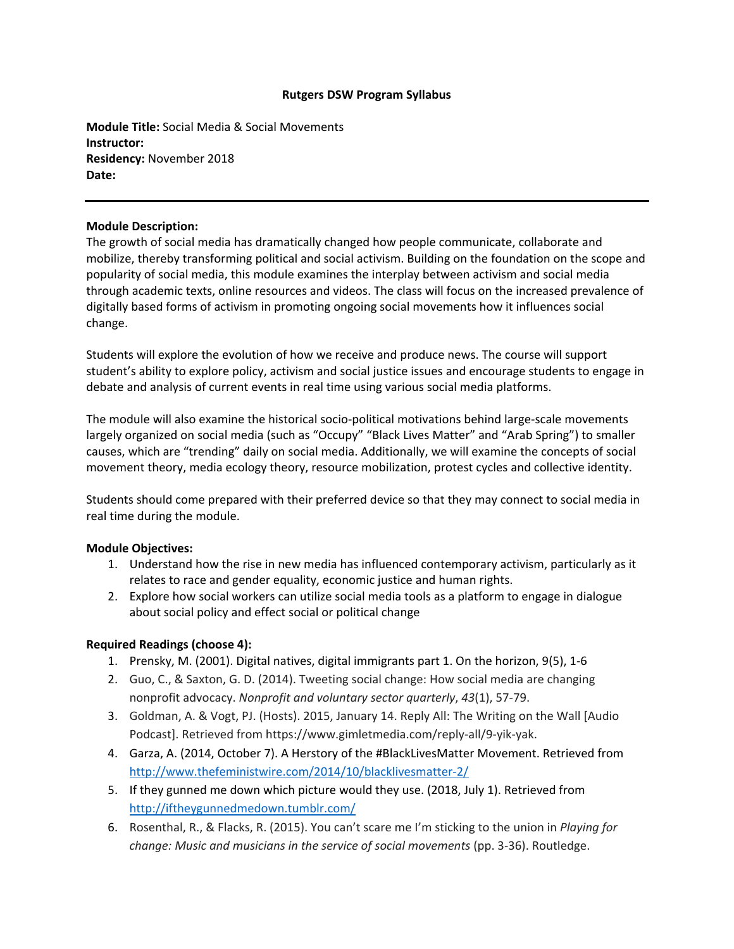## **Rutgers DSW Program Syllabus**

**Module Title:** Social Media & Social Movements **Instructor: Residency:** November 2018 **Date:**

## **Module Description:**

The growth of social media has dramatically changed how people communicate, collaborate and mobilize, thereby transforming political and social activism. Building on the foundation on the scope and popularity of social media, this module examines the interplay between activism and social media through academic texts, online resources and videos. The class will focus on the increased prevalence of digitally based forms of activism in promoting ongoing social movements how it influences social change.

Students will explore the evolution of how we receive and produce news. The course will support student's ability to explore policy, activism and social justice issues and encourage students to engage in debate and analysis of current events in real time using various social media platforms.

The module will also examine the historical socio-political motivations behind large-scale movements largely organized on social media (such as "Occupy" "Black Lives Matter" and "Arab Spring") to smaller causes, which are "trending" daily on social media. Additionally, we will examine the concepts of social movement theory, media ecology theory, resource mobilization, protest cycles and collective identity.

Students should come prepared with their preferred device so that they may connect to social media in real time during the module.

## **Module Objectives:**

- 1. Understand how the rise in new media has influenced contemporary activism, particularly as it relates to race and gender equality, economic justice and human rights.
- 2. Explore how social workers can utilize social media tools as a platform to engage in dialogue about social policy and effect social or political change

## **Required Readings (choose 4):**

- 1. Prensky, M. (2001). Digital natives, digital immigrants part 1. On the horizon, 9(5), 1‐6
- 2. Guo, C., & Saxton, G. D. (2014). Tweeting social change: How social media are changing nonprofit advocacy. *Nonprofit and voluntary sector quarterly*, *43*(1), 57‐79.
- 3. Goldman, A. & Vogt, PJ. (Hosts). 2015, January 14. Reply All: The Writing on the Wall [Audio Podcast]. Retrieved from https://www.gimletmedia.com/reply‐all/9‐yik‐yak.
- 4. Garza, A. (2014, October 7). A Herstory of the #BlackLivesMatter Movement. Retrieved from http://www.thefeministwire.com/2014/10/blacklivesmatter‐2/
- 5. If they gunned me down which picture would they use. (2018, July 1). Retrieved from http://iftheygunnedmedown.tumblr.com/
- 6. Rosenthal, R., & Flacks, R. (2015). You can't scare me I'm sticking to the union in *Playing for change: Music and musicians in the service of social movements* (pp. 3‐36). Routledge.